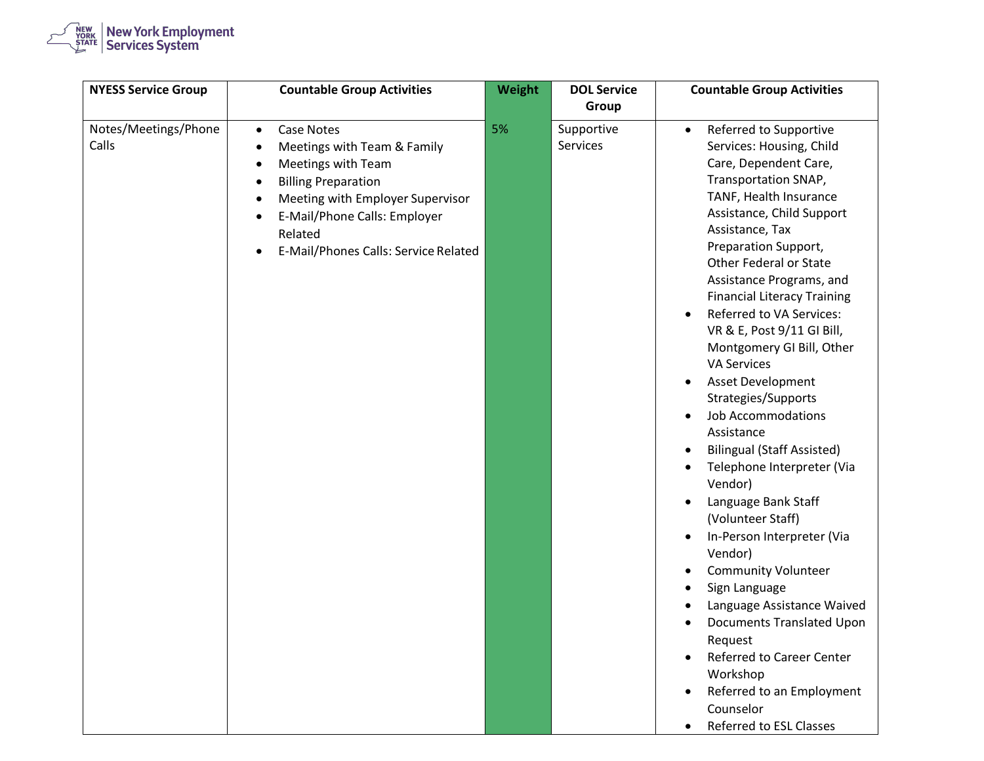

| <b>NYESS Service Group</b>    | <b>Countable Group Activities</b>                                                                                                                                                                                                                                                                                      | Weight | <b>DOL Service</b><br>Group | <b>Countable Group Activities</b>                                                                                                                                                                                                                                                                                                                                                                                                                                                                                                                                                                                                                                                                                                                                                                                                                                                                                                                                                                                                                                        |
|-------------------------------|------------------------------------------------------------------------------------------------------------------------------------------------------------------------------------------------------------------------------------------------------------------------------------------------------------------------|--------|-----------------------------|--------------------------------------------------------------------------------------------------------------------------------------------------------------------------------------------------------------------------------------------------------------------------------------------------------------------------------------------------------------------------------------------------------------------------------------------------------------------------------------------------------------------------------------------------------------------------------------------------------------------------------------------------------------------------------------------------------------------------------------------------------------------------------------------------------------------------------------------------------------------------------------------------------------------------------------------------------------------------------------------------------------------------------------------------------------------------|
| Notes/Meetings/Phone<br>Calls | <b>Case Notes</b><br>$\bullet$<br>Meetings with Team & Family<br>$\bullet$<br>Meetings with Team<br>$\bullet$<br><b>Billing Preparation</b><br>$\bullet$<br>Meeting with Employer Supervisor<br>$\bullet$<br>E-Mail/Phone Calls: Employer<br>$\bullet$<br>Related<br>E-Mail/Phones Calls: Service Related<br>$\bullet$ | 5%     | Supportive<br>Services      | Referred to Supportive<br>$\bullet$<br>Services: Housing, Child<br>Care, Dependent Care,<br>Transportation SNAP,<br>TANF, Health Insurance<br>Assistance, Child Support<br>Assistance, Tax<br>Preparation Support,<br>Other Federal or State<br>Assistance Programs, and<br><b>Financial Literacy Training</b><br><b>Referred to VA Services:</b><br>$\bullet$<br>VR & E, Post 9/11 GI Bill,<br>Montgomery GI Bill, Other<br><b>VA Services</b><br>Asset Development<br>$\bullet$<br>Strategies/Supports<br><b>Job Accommodations</b><br>$\bullet$<br>Assistance<br><b>Bilingual (Staff Assisted)</b><br>$\bullet$<br>Telephone Interpreter (Via<br>$\bullet$<br>Vendor)<br>Language Bank Staff<br>$\bullet$<br>(Volunteer Staff)<br>In-Person Interpreter (Via<br>$\bullet$<br>Vendor)<br><b>Community Volunteer</b><br>$\bullet$<br>Sign Language<br>$\bullet$<br>Language Assistance Waived<br>Documents Translated Upon<br>Request<br><b>Referred to Career Center</b><br>Workshop<br>Referred to an Employment<br>Counselor<br>Referred to ESL Classes<br>$\bullet$ |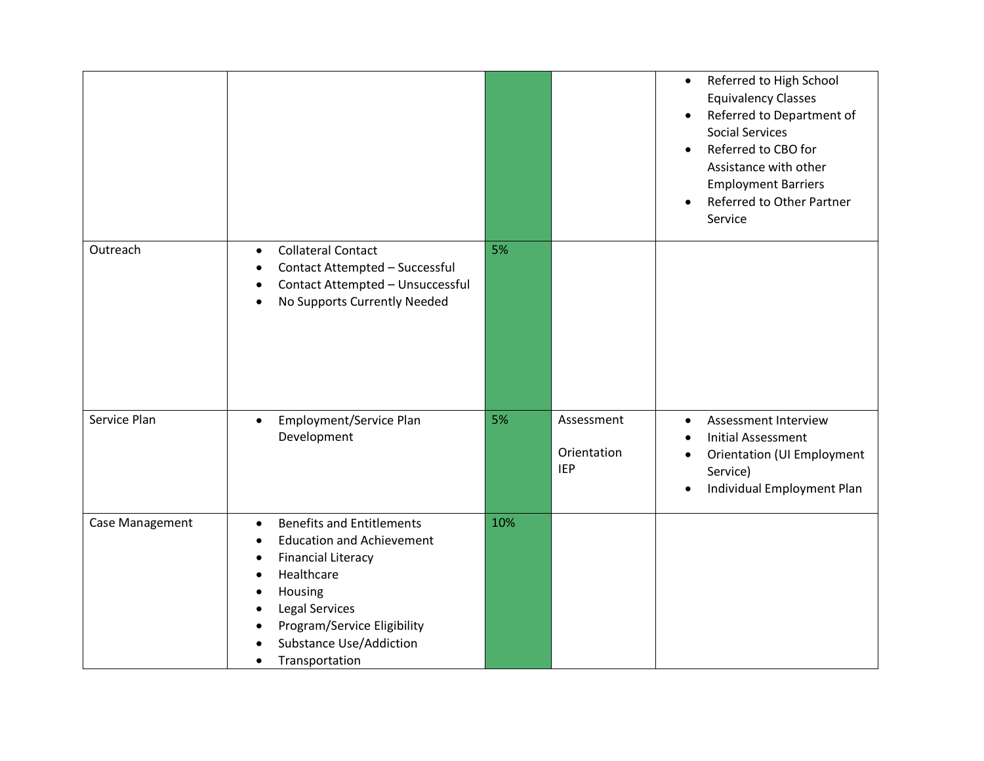|                 |                                                                                                                                                                                                                                                                                                                            |     |                                         | Referred to High School<br>$\bullet$<br><b>Equivalency Classes</b><br>Referred to Department of<br>$\bullet$<br><b>Social Services</b><br>Referred to CBO for<br>$\bullet$<br>Assistance with other<br><b>Employment Barriers</b><br>Referred to Other Partner<br>$\bullet$<br>Service |
|-----------------|----------------------------------------------------------------------------------------------------------------------------------------------------------------------------------------------------------------------------------------------------------------------------------------------------------------------------|-----|-----------------------------------------|----------------------------------------------------------------------------------------------------------------------------------------------------------------------------------------------------------------------------------------------------------------------------------------|
| Outreach        | <b>Collateral Contact</b><br>$\bullet$<br>Contact Attempted - Successful<br>$\bullet$<br>Contact Attempted - Unsuccessful<br>$\bullet$<br>No Supports Currently Needed<br>$\bullet$                                                                                                                                        | 5%  |                                         |                                                                                                                                                                                                                                                                                        |
| Service Plan    | Employment/Service Plan<br>$\bullet$<br>Development                                                                                                                                                                                                                                                                        | 5%  | Assessment<br>Orientation<br><b>IEP</b> | Assessment Interview<br>$\bullet$<br><b>Initial Assessment</b><br>$\bullet$<br><b>Orientation (UI Employment</b><br>$\bullet$<br>Service)<br>Individual Employment Plan<br>$\bullet$                                                                                                   |
| Case Management | <b>Benefits and Entitlements</b><br>$\bullet$<br><b>Education and Achievement</b><br>$\bullet$<br><b>Financial Literacy</b><br>$\bullet$<br>Healthcare<br>$\bullet$<br>Housing<br>$\bullet$<br>Legal Services<br>$\bullet$<br>Program/Service Eligibility<br>$\bullet$<br><b>Substance Use/Addiction</b><br>Transportation | 10% |                                         |                                                                                                                                                                                                                                                                                        |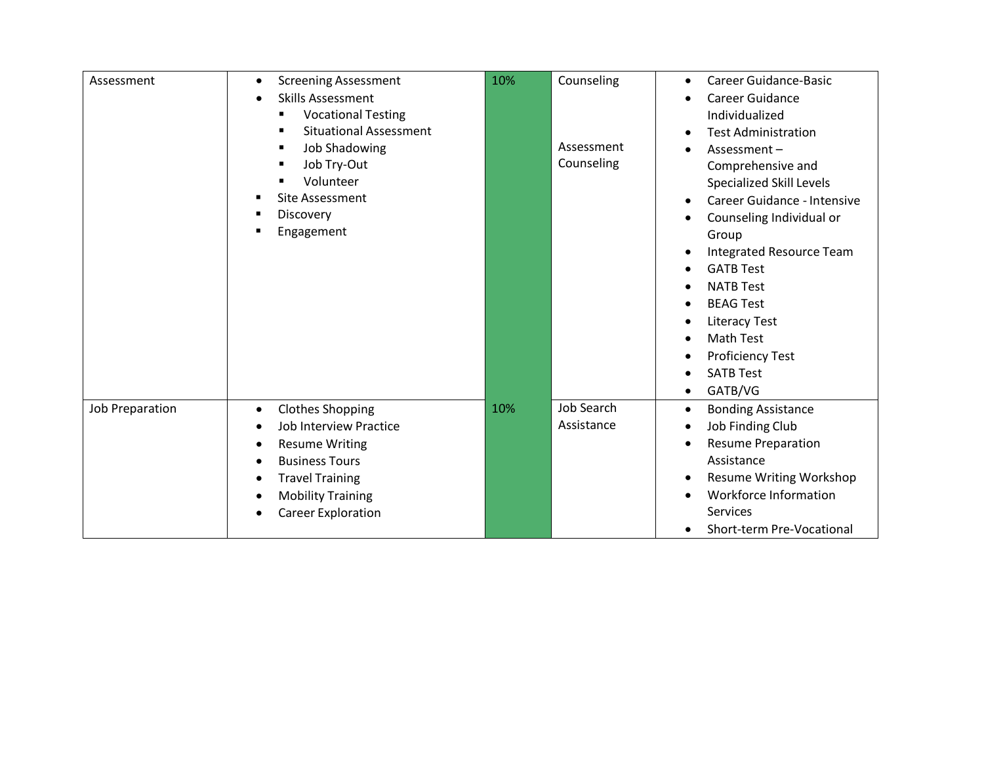| Assessment      | <b>Screening Assessment</b><br>$\bullet$<br><b>Skills Assessment</b><br>$\bullet$<br><b>Vocational Testing</b><br>п<br><b>Situational Assessment</b><br>п<br><b>Job Shadowing</b><br>в<br>Job Try-Out<br>п<br>Volunteer<br>Site Assessment<br>Discovery<br>п<br>Engagement | 10% | Counseling<br>Assessment<br>Counseling | Career Guidance-Basic<br>$\bullet$<br>Career Guidance<br>Individualized<br><b>Test Administration</b><br>$\bullet$<br>Assessment-<br>Comprehensive and<br><b>Specialized Skill Levels</b><br>Career Guidance - Intensive<br>$\bullet$<br>Counseling Individual or<br>Group<br>Integrated Resource Team<br>$\bullet$<br><b>GATB Test</b><br>$\bullet$<br><b>NATB Test</b><br>$\bullet$<br><b>BEAG Test</b><br>$\bullet$<br><b>Literacy Test</b><br><b>Math Test</b><br>$\bullet$<br><b>Proficiency Test</b><br>٠ |
|-----------------|----------------------------------------------------------------------------------------------------------------------------------------------------------------------------------------------------------------------------------------------------------------------------|-----|----------------------------------------|-----------------------------------------------------------------------------------------------------------------------------------------------------------------------------------------------------------------------------------------------------------------------------------------------------------------------------------------------------------------------------------------------------------------------------------------------------------------------------------------------------------------|
|                 |                                                                                                                                                                                                                                                                            |     |                                        | <b>SATB Test</b><br>$\bullet$                                                                                                                                                                                                                                                                                                                                                                                                                                                                                   |
| Job Preparation | <b>Clothes Shopping</b><br>$\bullet$<br>Job Interview Practice<br>$\bullet$<br><b>Resume Writing</b><br>٠<br><b>Business Tours</b><br>$\bullet$<br><b>Travel Training</b><br>٠<br><b>Mobility Training</b><br>$\bullet$<br><b>Career Exploration</b><br>٠                  | 10% | <b>Job Search</b><br>Assistance        | GATB/VG<br>٠<br><b>Bonding Assistance</b><br>$\bullet$<br>Job Finding Club<br>$\bullet$<br><b>Resume Preparation</b><br>$\bullet$<br>Assistance<br>Resume Writing Workshop<br>$\bullet$<br>Workforce Information<br>Services<br>Short-term Pre-Vocational                                                                                                                                                                                                                                                       |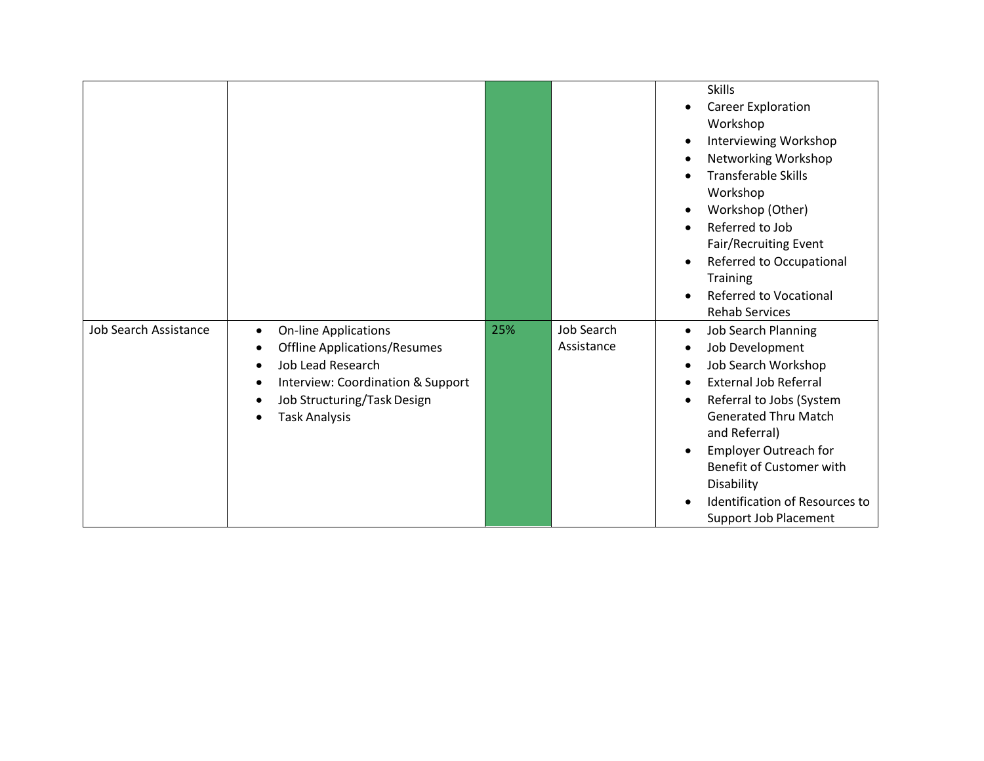| <b>Job Search Assistance</b> |                                                                                                                                                                                                                                                   | 25% | <b>Job Search</b> | <b>Skills</b><br>Career Exploration<br>$\bullet$<br>Workshop<br>Interviewing Workshop<br>$\bullet$<br>Networking Workshop<br>$\bullet$<br><b>Transferable Skills</b><br>$\bullet$<br>Workshop<br>Workshop (Other)<br>$\bullet$<br>Referred to Job<br>$\bullet$<br>Fair/Recruiting Event<br>Referred to Occupational<br>$\bullet$<br><b>Training</b><br><b>Referred to Vocational</b><br>$\bullet$<br><b>Rehab Services</b> |
|------------------------------|---------------------------------------------------------------------------------------------------------------------------------------------------------------------------------------------------------------------------------------------------|-----|-------------------|----------------------------------------------------------------------------------------------------------------------------------------------------------------------------------------------------------------------------------------------------------------------------------------------------------------------------------------------------------------------------------------------------------------------------|
|                              | <b>On-line Applications</b><br>$\bullet$<br><b>Offline Applications/Resumes</b><br>٠<br><b>Job Lead Research</b><br>$\bullet$<br>Interview: Coordination & Support<br>٠<br>Job Structuring/Task Design<br>$\bullet$<br>Task Analysis<br>$\bullet$ |     | Assistance        | <b>Job Search Planning</b><br>$\bullet$<br>Job Development<br>$\bullet$<br>Job Search Workshop<br>$\bullet$<br><b>External Job Referral</b><br>$\bullet$<br>Referral to Jobs (System<br>$\bullet$<br><b>Generated Thru Match</b><br>and Referral)<br><b>Employer Outreach for</b><br>$\bullet$<br>Benefit of Customer with<br>Disability<br>Identification of Resources to<br>$\bullet$<br><b>Support Job Placement</b>    |